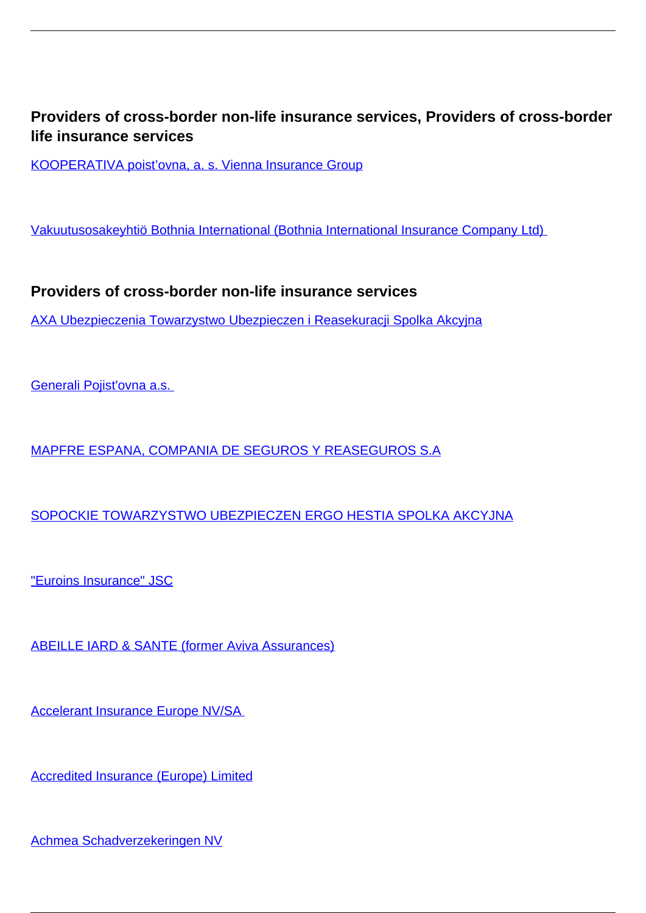## **Providers of cross-border non-life insurance services, Providers of cross-border life insurance services**

[KOOPERATIVA poist'ovna, a. s. Vienna Insurance Group](/en/insurance/insurance-companies/insurance-0/providers-cross-border-non-life-insurance-services/kooperativa-poistovna-s-vienna-insurance-group)

[Vakuutusosakeyhtiö Bothnia International \(Bothnia International Insurance Company Ltd\)](/en/vakuutusosakeyhtio-bothnia-international-bothnia-international-insurance-company-ltd) 

**Providers of cross-border non-life insurance services**

[AXA Ubezpieczenia Towarzystwo Ubezpieczen i Reasekuracji Spolka Akcyjna](/en/insurance/insurance-companies/insurance-0/providers-cross-border-non-life-insurance-services/axa-ubezpieczenia-towarzystwo-ubezpieczen-i-reasekuracji-spolka-akcyjna)

[Generali Pojist'ovna a.s.](/en/insurance/insurance-companies/insurance-0/providers-cross-border-non-life-insurance-services/generali-pojistovna) 

[MAPFRE ESPANA, COMPANIA DE SEGUROS Y REASEGUROS S.A](/en/insurance/insurance-companies/insurance-0/providers-cross-border-non-life-insurance-services/mapfre-espana-compania-de-seguros-y-reaseguros-sa)

[SOPOCKIE TOWARZYSTWO UBEZPIECZEN ERGO HESTIA SPOLKA AKCYJNA](/en/insurance/insurance-companies/insurance-0/providers-cross-border-non-life-insurance-services/sopockie-towarzystwo-ubezpieczen-ergo-hestia-spolka-akcyjna)

["Euroins Insurance" JSC](/en/insurance/insurance-companies/insurance-0/providers-cross-border-non-life-insurance-services/euroins-insurance-jsc)

[ABEILLE IARD & SANTE \(former Aviva Assurances\)](/en/insurance/insurance-companies/insurance-0/providers-cross-border-non-life-insurance-services/abeille-iard-sante-former-aviva-assurances)

[Accelerant Insurance Europe NV/SA](/en/insurance/insurance-companies/insurance-0/providers-cross-border-non-life-insurance-services/accelerant-insurance-europe-nvsa) 

[Accredited Insurance \(Europe\) Limited](/en/insurance/insurance-companies/insurance-0/providers-cross-border-non-life-insurance-services/accredited-insurance-europe-limited)

[Achmea Schadverzekeringen NV](/en/insurance/insurance-companies/insurance-0/providers-cross-border-non-life-insurance-services/achmea-schadverzekeringen-nv)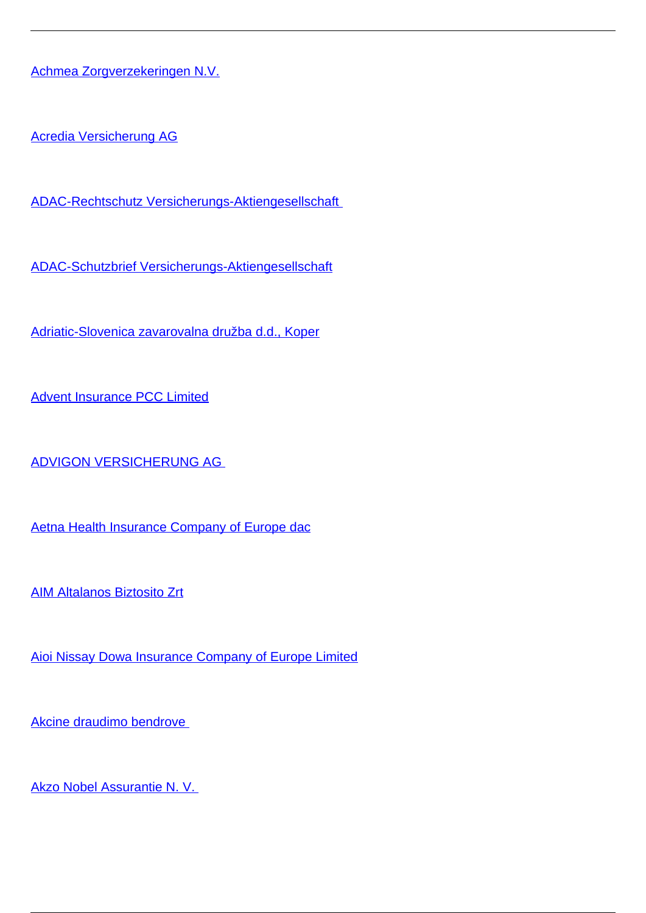[Achmea Zorgverzekeringen N.V.](/en/insurance/insurance-companies/insurance-0/providers-cross-border-non-life-insurance-services/achmea-zorgverzekeringen-nv)

[Acredia Versicherung AG](/en/insurance/insurance-companies/insurance-0/providers-cross-border-non-life-insurance-services/acredia-versicherung-ag)

[ADAC-Rechtschutz Versicherungs-Aktiengesellschaft](/en/insurance/insurance-companies/insurance-0/providers-cross-border-non-life-insurance-services/adac-rechtschutz-versicherungs-aktiengesellschaft) 

[ADAC-Schutzbrief Versicherungs-Aktiengesellschaft](/en/insurance/insurance-companies/insurance-0/providers-cross-border-non-life-insurance-services/adac-schutzbrief-versicherungs-aktiengesellschaft)

[Adriatic-Slovenica zavarovalna družba d.d., Koper](/en/insurance/insurance-companies/insurance-0/providers-cross-border-non-life-insurance-services/adriatic-slovenica-zavarovalna-druzba-dd-koper)

[Advent Insurance PCC Limited](/en/insurance/insurance-companies/insurance-0/providers-cross-border-non-life-insurance-services/advent-insurance-pcc-limited)

[ADVIGON VERSICHERUNG AG](/en/insurance/insurance-companies/insurance-0/providers-cross-border-non-life-insurance-services/advigon-versicherung-ag) 

[Aetna Health Insurance Company of Europe dac](/en/insurance/insurance-companies/insurance-0/providers-cross-border-non-life-insurance-services/aetna-health-insurance-company-europe-dac)

[AIM Altalanos Biztosito Zrt](/en/insurance/insurance-companies/insurance-0/providers-cross-border-non-life-insurance-services/aim-altalanos-biztosito-zrt)

[Aioi Nissay Dowa Insurance Company of Europe Limited](/en/insurance/insurance-companies/insurance-0/providers-cross-border-non-life-insurance-services/aioi-nissay-dowa-insurance-company-europe-limited)

[Akcine draudimo bendrove](/en/insurance/insurance-companies/insurance-0/providers-cross-border-non-life-insurance-services/akcine-draudimo-bendrove) 

[Akzo Nobel Assurantie N. V.](/en/insurance/insurance-companies/insurance-0/providers-cross-border-non-life-insurance-services/akzo-nobel-assurantie-n-v)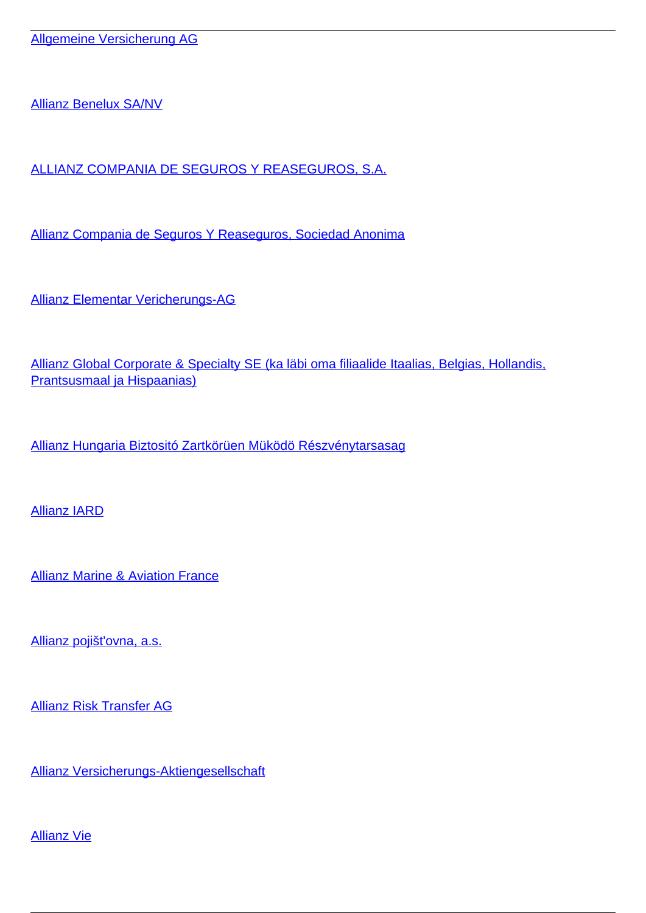[Allianz Benelux SA/NV](/en/insurance/insurance-companies/insurance-0/providers-cross-border-non-life-insurance-services/allianz-benelux-sanv)

[ALLIANZ COMPANIA DE SEGUROS Y REASEGUROS, S.A.](/en/insurance/insurance-companies/insurance-0/providers-cross-border-non-life-insurance-services/allianz-compania-de-seguros-y-reaseguros-sa)

[Allianz Compania de Seguros Y Reaseguros, Sociedad Anonima](/en/insurance/insurance-companies/insurance-0/providers-cross-border-non-life-insurance-services/allianz-compania-de-seguros-y-reaseguros-sociedad-anonima)

[Allianz Elementar Vericherungs-AG](/en/insurance/insurance-companies/insurance-0/providers-cross-border-non-life-insurance-services/allianz-elementar-vericherungs-ag)

[Allianz Global Corporate & Specialty SE \(ka läbi oma filiaalide Itaalias, Belgias, Hollandis,](/en/insurance/insurance-companies/insurance-0/providers-cross-border-non-life-insurance-services/allianz-global-corporate-specialty-se-ka-labi-oma-filiaalide-itaalias-belgias-hollandis-prantsusmaal) [Prantsusmaal ja Hispaanias\)](/en/insurance/insurance-companies/insurance-0/providers-cross-border-non-life-insurance-services/allianz-global-corporate-specialty-se-ka-labi-oma-filiaalide-itaalias-belgias-hollandis-prantsusmaal)

[Allianz Hungaria Biztositó Zartkörüen Müködö Részvénytarsasag](/en/insurance/insurance-companies/insurance-0/providers-cross-border-non-life-insurance-services/allianz-hungaria-biztosito-zartkoruen-mukodo-reszvenytarsasag)

[Allianz IARD](/en/insurance/insurance-companies/insurance-0/providers-cross-border-non-life-insurance-services/allianz-iard)

[Allianz Marine & Aviation France](/en/insurance/insurance-companies/insurance-0/providers-cross-border-non-life-insurance-services/allianz-marine-aviation-france)

[Allianz pojišt'ovna, a.s.](/en/insurance/insurance-companies/insurance-0/providers-cross-border-non-life-insurance-services/allianz-pojistovna)

[Allianz Risk Transfer AG](/en/insurance/insurance-companies/insurance-0/providers-cross-border-non-life-insurance-services/allianz-risk-transfer-ag)

[Allianz Versicherungs-Aktiengesellschaft](/en/insurance/insurance-companies/insurance-0/providers-cross-border-non-life-insurance-services/allianz-versicherungs-aktiengesellschaft)

[Allianz Vie](/en/insurance/insurance-companies/insurance-0/providers-cross-border-non-life-insurance-services/allianz-vie)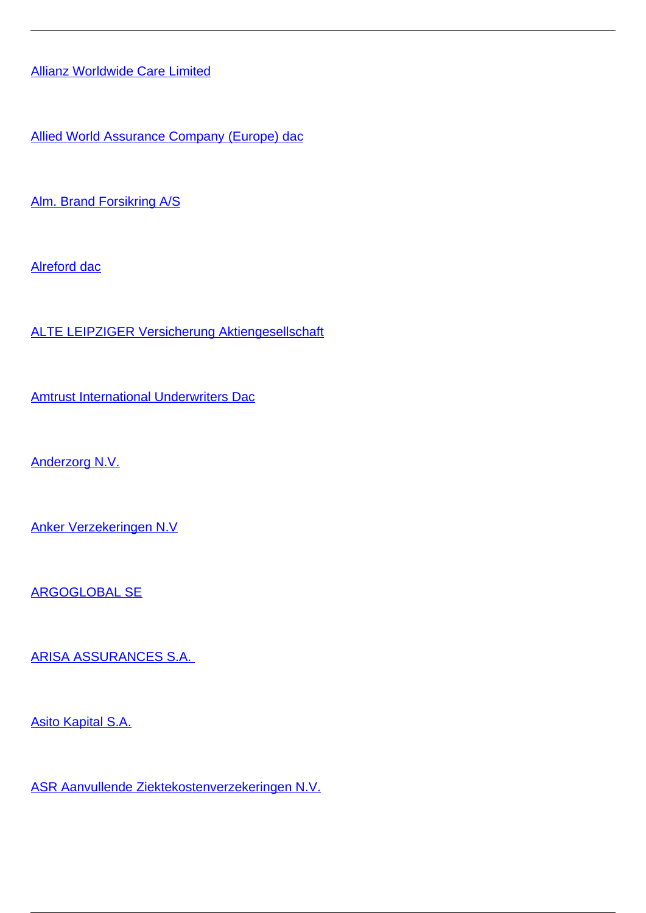[Allianz Worldwide Care Limited](/en/insurance/insurance-companies/insurance-0/providers-cross-border-non-life-insurance-services/allianz-worldwide-care-limited)

[Allied World Assurance Company \(Europe\) dac](/en/insurance/insurance-companies/insurance-0/providers-cross-border-non-life-insurance-services/allied-world-assurance-company-europe-dac)

[Alm. Brand Forsikring A/S](/en/insurance/insurance-companies/insurance-0/providers-cross-border-non-life-insurance-services/alm-brand-forsikring)

[Alreford dac](/en/insurance/insurance-companies/insurance-0/providers-cross-border-non-life-insurance-services/alreford-dac)

[ALTE LEIPZIGER Versicherung Aktiengesellschaft](/en/insurance/insurance-companies/insurance-0/providers-cross-border-non-life-insurance-services/alte-leipziger-versicherung-aktiengesellschaft)

[Amtrust International Underwriters Dac](/en/insurance/insurance-companies/insurance-0/providers-cross-border-non-life-insurance-services/amtrust-international-underwriters-dac)

[Anderzorg N.V.](/en/insurance/insurance-companies/insurance-0/providers-cross-border-non-life-insurance-services/anderzorg-nv)

[Anker Verzekeringen N.V](/en/insurance/insurance-companies/insurance-0/providers-cross-border-non-life-insurance-services/anker-verzekeringen-nv)

[ARGOGLOBAL SE](/en/insurance/insurance-companies/insurance-0/providers-cross-border-non-life-insurance-services/argoglobal-se)

[ARISA ASSURANCES S.A.](/en/insurance/insurance-companies/insurance-0/providers-cross-border-non-life-insurance-services/arisa-assurances-sa) 

[Asito Kapital S.A.](/en/insurance/insurance-companies/insurance-0/providers-cross-border-non-life-insurance-services/asito-kapital-sa)

[ASR Aanvullende Ziektekostenverzekeringen N.V.](/en/insurance/insurance-companies/insurance-0/providers-cross-border-non-life-insurance-services/asr-aanvullende-ziektekostenverzekeringen-nv)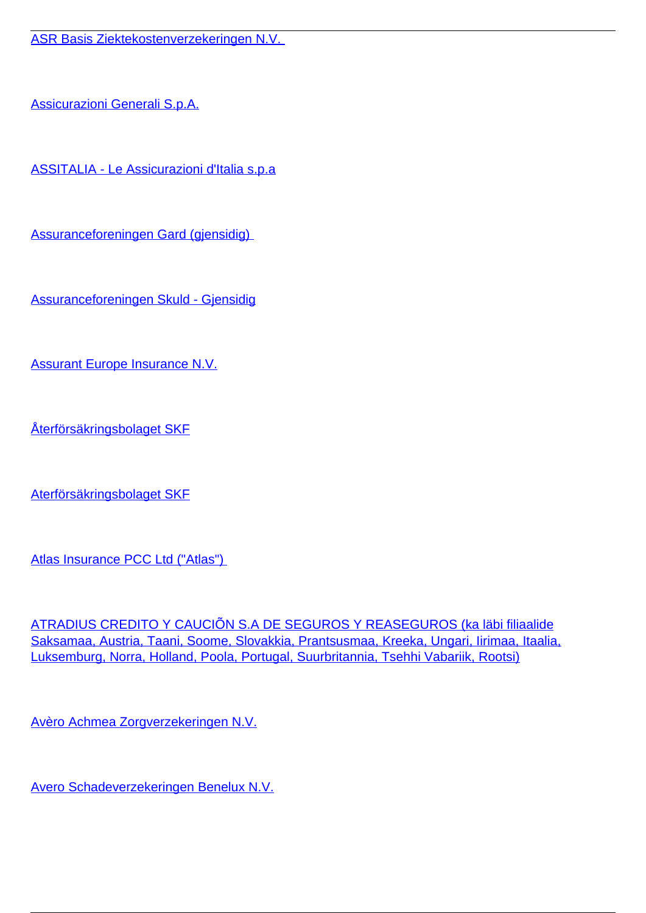[ASR Basis Ziektekostenverzekeringen N.V.](/en/insurance/insurance-companies/insurance-0/providers-cross-border-non-life-insurance-services/asr-basis-ziektekostenverzekeringen-nv) 

[Assicurazioni Generali S.p.A.](/en/insurance/insurance-companies/insurance-0/providers-cross-border-non-life-insurance-services/assicurazioni-generali-spa)

[ASSITALIA - Le Assicurazioni d'Italia s.p.a](/en/insurance/insurance-companies/insurance-0/providers-cross-border-non-life-insurance-services/assitalia-le-assicurazioni-ditalia-spa)

[Assuranceforeningen Gard \(gjensidig\)](/en/insurance/insurance-companies/insurance-0/providers-cross-border-non-life-insurance-services/assuranceforeningen-gard-gjensidig) 

[Assuranceforeningen Skuld - Gjensidig](/en/insurance/insurance-companies/insurance-0/providers-cross-border-non-life-insurance-services/assuranceforeningen-skuld-gjensidig)

[Assurant Europe Insurance N.V.](/en/insurance/insurance-companies/insurance-0/providers-cross-border-non-life-insurance-services/assurant-europe-insurance-nv)

[Återförsäkringsbolaget SKF](/en/insurance/insurance-companies/insurance-0/providers-cross-border-non-life-insurance-services/aterforsakringsbolaget-skf)

[Aterförsäkringsbolaget SKF](/en/insurance/insurance-companies/insurance-0/providers-cross-border-non-life-insurance-services/aterforsakringsbolaget-skf-0)

Atlas Insurance PCC Ltd ("Atlas")

[ATRADIUS CREDITO Y CAUCIÕN S.A DE SEGUROS Y REASEGUROS \(ka läbi filiaalide](/en/insurance/insurance-companies/insurance-0/providers-cross-border-non-life-insurance-services/atradius-credito-y-caucion-sa-de-seguros-y-reaseguros-ka-labi-filiaalide-saksamaa-austria-taani) [Saksamaa, Austria, Taani, Soome, Slovakkia, Prantsusmaa, Kreeka, Ungari, Iirimaa, Itaalia,](/en/insurance/insurance-companies/insurance-0/providers-cross-border-non-life-insurance-services/atradius-credito-y-caucion-sa-de-seguros-y-reaseguros-ka-labi-filiaalide-saksamaa-austria-taani) [Luksemburg, Norra, Holland, Poola, Portugal, Suurbritannia, Tsehhi Vabariik, Rootsi\)](/en/insurance/insurance-companies/insurance-0/providers-cross-border-non-life-insurance-services/atradius-credito-y-caucion-sa-de-seguros-y-reaseguros-ka-labi-filiaalide-saksamaa-austria-taani)

[Avèro Achmea Zorgverzekeringen N.V.](/en/insurance/insurance-companies/insurance-0/providers-cross-border-non-life-insurance-services/avero-achmea-zorgverzekeringen-nv)

[Avero Schadeverzekeringen Benelux N.V.](/en/insurance/insurance-companies/insurance-0/providers-cross-border-non-life-insurance-services/avero-schadeverzekeringen-benelux-nv)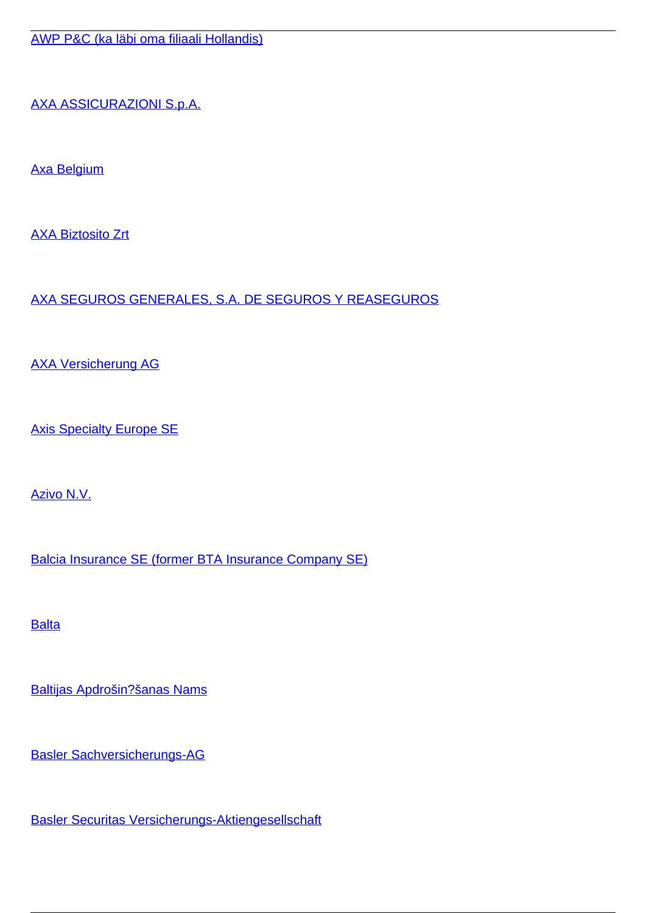[AWP P&C \(ka läbi oma filiaali Hollandis\)](/en/insurance/insurance-companies/insurance-0/providers-cross-border-non-life-insurance-services/awp-pc-ka-labi-oma-filiaali-hollandis)

[AXA ASSICURAZIONI S.p.A.](/en/insurance/insurance-companies/insurance-0/providers-cross-border-non-life-insurance-services/axa-assicurazioni-spa)

[Axa Belgium](/en/insurance/insurance-companies/insurance-0/providers-cross-border-non-life-insurance-services/axa-belgium)

[AXA Biztosito Zrt](/en/insurance/insurance-companies/insurance-0/providers-cross-border-non-life-insurance-services/axa-biztosito-zrt)

[AXA SEGUROS GENERALES, S.A. DE SEGUROS Y REASEGUROS](/en/insurance/insurance-companies/insurance-0/providers-cross-border-non-life-insurance-services/axa-seguros-generales-sa-de-seguros-y-reaseguros)

[AXA Versicherung AG](/en/insurance/insurance-companies/insurance-0/providers-cross-border-non-life-insurance-services/axa-versicherung-ag)

**[Axis Specialty Europe SE](/en/insurance/insurance-companies/insurance-0/providers-cross-border-non-life-insurance-services/axis-specialty-europe-se)** 

[Azivo N.V.](/en/insurance/insurance-companies/insurance-0/providers-cross-border-non-life-insurance-services/azivo-nv)

[Balcia Insurance SE \(former BTA Insurance Company SE\)](/en/insurance/insurance-companies/insurance-0/providers-cross-border-non-life-insurance-services/balcia-insurance-se-former-bta-insurance-company-se)

**[Balta](/en/insurance/insurance-companies/insurance-0/providers-cross-border-non-life-insurance-services/balta)** 

[Baltijas Apdrošin?šanas Nams](/en/insurance/insurance-companies/insurance-0/providers-cross-border-non-life-insurance-services/baltijas-apdrosinasanas-nams)

[Basler Sachversicherungs-AG](/en/insurance/insurance-companies/insurance-0/providers-cross-border-non-life-insurance-services/basler-sachversicherungs-ag)

[Basler Securitas Versicherungs-Aktiengesellschaft](/en/insurance/insurance-companies/insurance-0/providers-cross-border-non-life-insurance-services/basler-securitas-versicherungs-aktiengesellschaft)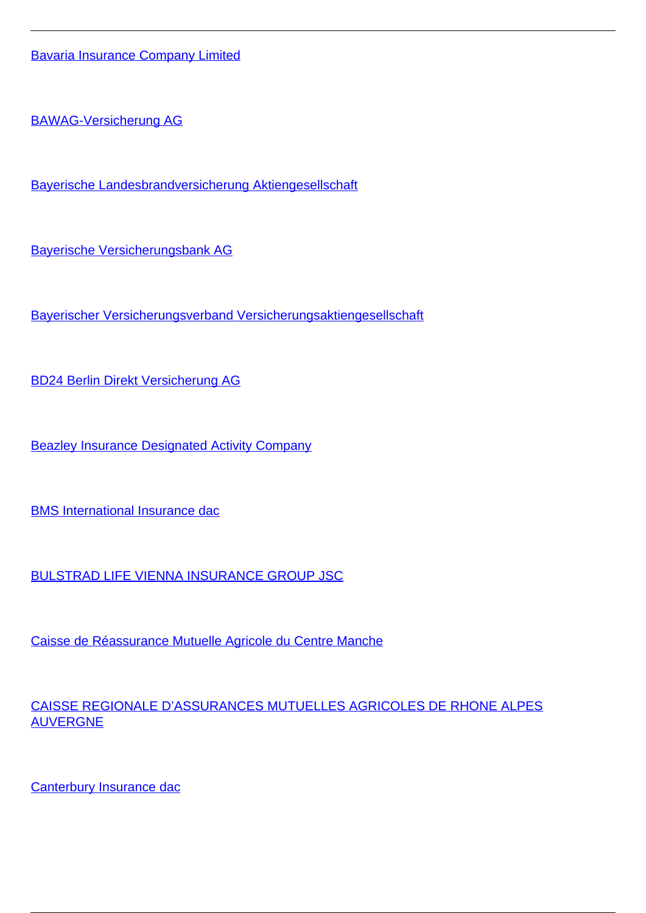[Bavaria Insurance Company Limited](/en/insurance/insurance-companies/insurance-0/providers-cross-border-non-life-insurance-services/bavaria-insurance-company-limited)

[BAWAG-Versicherung AG](/en/insurance/insurance-companies/insurance-0/providers-cross-border-non-life-insurance-services/bawag-versicherung-ag)

[Bayerische Landesbrandversicherung Aktiengesellschaft](/en/insurance/insurance-companies/insurance-0/providers-cross-border-non-life-insurance-services/bayerische-landesbrandversicherung-aktiengesellschaft)

[Bayerische Versicherungsbank AG](/en/insurance/insurance-companies/insurance-0/providers-cross-border-non-life-insurance-services/bayerische-versicherungsbank-ag)

[Bayerischer Versicherungsverband Versicherungsaktiengesellschaft](/en/insurance/insurance-companies/insurance-0/providers-cross-border-non-life-insurance-services/bayerischer-versicherungsverband-versicherungsaktiengesellschaft)

[BD24 Berlin Direkt Versicherung AG](/en/insurance/insurance-companies/insurance-0/providers-cross-border-non-life-insurance-services/bd24-berlin-direkt-versicherung-ag)

**[Beazley Insurance Designated Activity Company](/en/insurance/insurance-companies/insurance-0/providers-cross-border-non-life-insurance-services/beazley-insurance-designated-activity-company)** 

[BMS International Insurance dac](/en/insurance/insurance-companies/insurance-0/providers-cross-border-non-life-insurance-services/bms-international-insurance-dac)

[BULSTRAD LIFE VIENNA INSURANCE GROUP JSC](/en/insurance/insurance-companies/insurance-0/providers-cross-border-non-life-insurance-services/bulstrad-life-vienna-insurance-group-jsc)

[Caisse de Réassurance Mutuelle Agricole du Centre Manche](/en/insurance/insurance-companies/insurance-0/providers-cross-border-non-life-insurance-services/caisse-de-reassurance-mutuelle-agricole-du-centre-manche)

[CAISSE REGIONALE D'ASSURANCES MUTUELLES AGRICOLES DE RHONE ALPES](/en/insurance/insurance-companies/insurance-0/providers-cross-border-non-life-insurance-services/caisse-regionale-dassurances-mutuelles-agricoles-de-rhone-alpes-auvergne) [AUVERGNE](/en/insurance/insurance-companies/insurance-0/providers-cross-border-non-life-insurance-services/caisse-regionale-dassurances-mutuelles-agricoles-de-rhone-alpes-auvergne)

[Canterbury Insurance dac](/en/insurance/insurance-companies/insurance-0/providers-cross-border-non-life-insurance-services/canterbury-insurance-dac)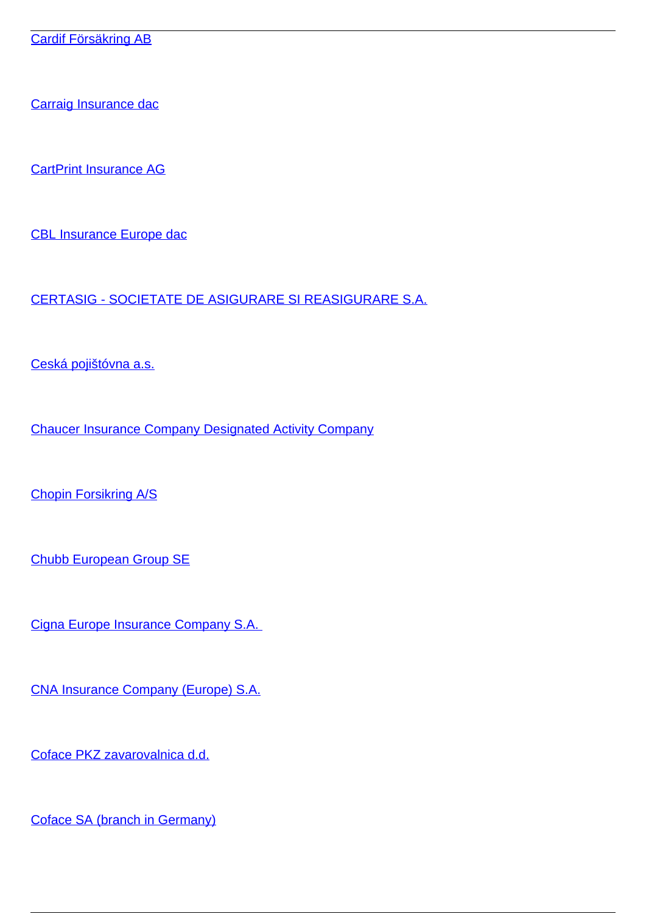[Carraig Insurance dac](/en/insurance/insurance-companies/insurance-0/providers-cross-border-non-life-insurance-services/carraig-insurance-dac)

[CartPrint Insurance AG](/en/insurance/insurance-companies/insurance-0/providers-cross-border-non-life-insurance-services/cartprint-insurance-ag)

[CBL Insurance Europe dac](/en/insurance/insurance-companies/insurance-0/providers-cross-border-non-life-insurance-services/cbl-insurance-europe-dac)

[CERTASIG - SOCIETATE DE ASIGURARE SI REASIGURARE S.A.](/en/insurance/insurance-companies/insurance-0/providers-cross-border-non-life-insurance-services/certasig-societate-de-asigurare-si-reasigurare-sa)

[Ceská pojištóvna a.s.](/en/insurance/insurance-companies/insurance-0/providers-cross-border-non-life-insurance-services/ceska-pojistovna)

[Chaucer Insurance Company Designated Activity Company](/en/insurance/insurance-companies/insurance-0/providers-cross-border-non-life-insurance-services/chaucer-insurance-company-designated-activity-company)

[Chopin Forsikring A/S](/en/insurance/insurance-companies/insurance-0/providers-cross-border-non-life-insurance-services/chopin-forsikring)

[Chubb European Group SE](/en/insurance/insurance-companies/insurance-0/providers-cross-border-non-life-insurance-services/chubb-european-group-se)

[Cigna Europe Insurance Company S.A.](/en/insurance/insurance-companies/insurance-0/providers-cross-border-non-life-insurance-services/cigna-europe-insurance-company-sa) 

[CNA Insurance Company \(Europe\) S.A.](/en/insurance/insurance-companies/insurance-0/providers-cross-border-non-life-insurance-services/cna-insurance-company-europe-sa)

[Coface PKZ zavarovalnica d.d.](/en/insurance/insurance-companies/insurance-0/providers-cross-border-non-life-insurance-services/coface-pkz-zavarovalnica-dd)

[Coface SA \(branch in Germany\)](/en/insurance/insurance-companies/insurance-0/providers-cross-border-non-life-insurance-services/coface-sa-branch-germany)